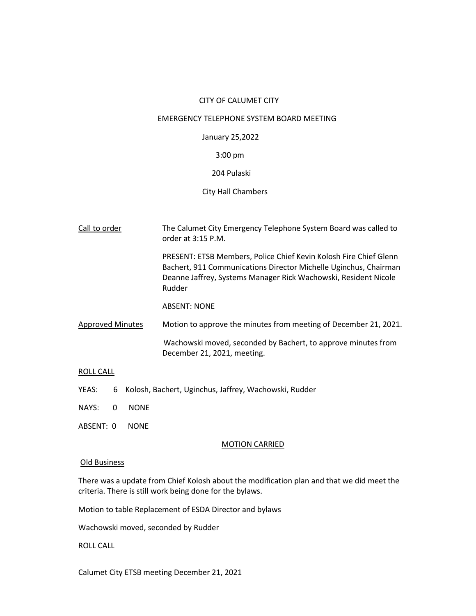### CITY OF CALUMET CITY

## EMERGENCY TELEPHONE SYSTEM BOARD MEETING

# January 25,2022

## 3:00 pm

### 204 Pulaski

### City Hall Chambers

| Call to order           | The Calumet City Emergency Telephone System Board was called to<br>order at 3:15 P.M.                                                                                                                              |
|-------------------------|--------------------------------------------------------------------------------------------------------------------------------------------------------------------------------------------------------------------|
|                         | PRESENT: ETSB Members, Police Chief Kevin Kolosh Fire Chief Glenn<br>Bachert, 911 Communications Director Michelle Uginchus, Chairman<br>Deanne Jaffrey, Systems Manager Rick Wachowski, Resident Nicole<br>Rudder |
|                         | <b>ABSENT: NONE</b>                                                                                                                                                                                                |
| <b>Approved Minutes</b> | Motion to approve the minutes from meeting of December 21, 2021.                                                                                                                                                   |
|                         | Wachowski moved, seconded by Bachert, to approve minutes from<br>December 21, 2021, meeting.                                                                                                                       |

### ROLL CALL

- YEAS: 6 Kolosh, Bachert, Uginchus, Jaffrey, Wachowski, Rudder
- NAYS: 0 NONE
- ABSENT: 0 NONE

### MOTION CARRIED

## Old Business

There was a update from Chief Kolosh about the modification plan and that we did meet the criteria. There is still work being done for the bylaws.

Motion to table Replacement of ESDA Director and bylaws

Wachowski moved, seconded by Rudder

ROLL CALL

Calumet City ETSB meeting December 21, 2021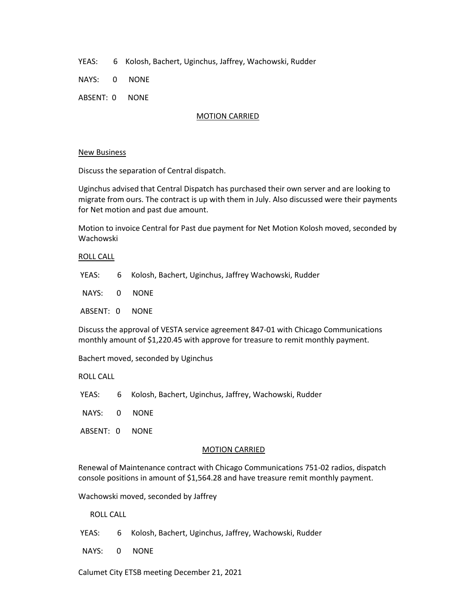YEAS: 6 Kolosh, Bachert, Uginchus, Jaffrey, Wachowski, Rudder

NAYS: 0 NONE

ABSENT: 0 NONE

### MOTION CARRIED

### New Business

Discuss the separation of Central dispatch.

Uginchus advised that Central Dispatch has purchased their own server and are looking to migrate from ours. The contract is up with them in July. Also discussed were their payments for Net motion and past due amount.

Motion to invoice Central for Past due payment for Net Motion Kolosh moved, seconded by Wachowski

### ROLL CALL

YEAS: 6 Kolosh, Bachert, Uginchus, Jaffrey Wachowski, Rudder

NAYS: 0 NONE

ABSENT: 0 NONE

Discuss the approval of VESTA service agreement 847-01 with Chicago Communications monthly amount of \$1,220.45 with approve for treasure to remit monthly payment.

Bachert moved, seconded by Uginchus

ROLL CALL

YEAS: 6 Kolosh, Bachert, Uginchus, Jaffrey, Wachowski, Rudder

NAYS: 0 NONE

ABSENT: 0 NONE

### MOTION CARRIED

Renewal of Maintenance contract with Chicago Communications 751-02 radios, dispatch console positions in amount of \$1,564.28 and have treasure remit monthly payment.

Wachowski moved, seconded by Jaffrey

ROLL CALL

- YEAS: 6 Kolosh, Bachert, Uginchus, Jaffrey, Wachowski, Rudder
- NAYS: 0 NONE

Calumet City ETSB meeting December 21, 2021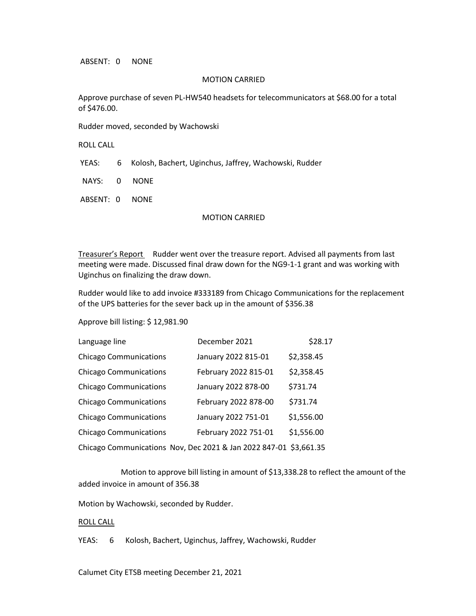ABSENT: 0 NONE

### MOTION CARRIED

Approve purchase of seven PL-HW540 headsets for telecommunicators at \$68.00 for a total of \$476.00.

Rudder moved, seconded by Wachowski

ROLL CALL

YEAS: 6 Kolosh, Bachert, Uginchus, Jaffrey, Wachowski, Rudder

NAYS: 0 NONE

ABSENT: 0 NONE

### MOTION CARRIED

Treasurer's Report Rudder went over the treasure report. Advised all payments from last meeting were made. Discussed final draw down for the NG9-1-1 grant and was working with Uginchus on finalizing the draw down.

Rudder would like to add invoice #333189 from Chicago Communications for the replacement of the UPS batteries for the sever back up in the amount of \$356.38

Approve bill listing: \$ 12,981.90

| Language line                 | December 2021                                                     | \$28.17    |
|-------------------------------|-------------------------------------------------------------------|------------|
| <b>Chicago Communications</b> | January 2022 815-01                                               | \$2,358.45 |
| <b>Chicago Communications</b> | February 2022 815-01                                              | \$2,358.45 |
| <b>Chicago Communications</b> | January 2022 878-00                                               | \$731.74   |
| <b>Chicago Communications</b> | February 2022 878-00                                              | \$731.74   |
| <b>Chicago Communications</b> | January 2022 751-01                                               | \$1,556.00 |
| <b>Chicago Communications</b> | February 2022 751-01                                              | \$1,556.00 |
|                               | Chicago Communications Nov, Dec 2021 & Jan 2022 847-01 \$3,661.35 |            |

 Motion to approve bill listing in amount of \$13,338.28 to reflect the amount of the added invoice in amount of 356.38

Motion by Wachowski, seconded by Rudder.

#### ROLL CALL

YEAS: 6 Kolosh, Bachert, Uginchus, Jaffrey, Wachowski, Rudder

Calumet City ETSB meeting December 21, 2021